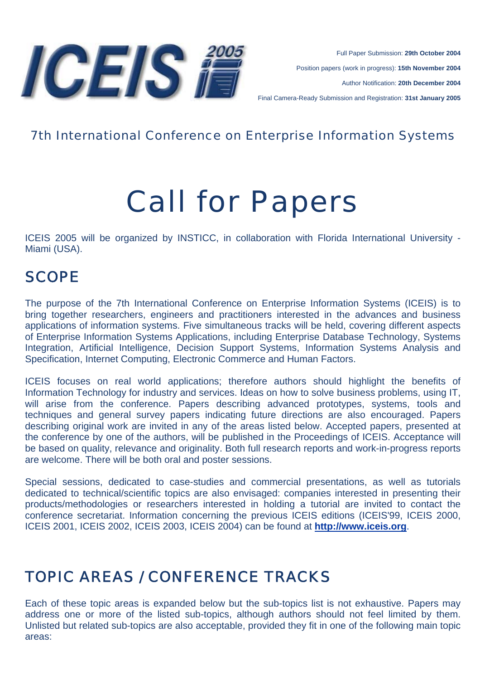

Full Paper Submission: **29th October 2004** Position papers (work in progress): **15th November 2004** Author Notification: **20th December 2004** Final Camera-Ready Submission and Registration: **31st January 2005**

#### 7th International Conference on Enterprise Information Systems

# Call for Papers

ICEIS 2005 will be organized by INSTICC, in collaboration with Florida International University - Miami (USA).

# SCOPE

The purpose of the 7th International Conference on Enterprise Information Systems (ICEIS) is to bring together researchers, engineers and practitioners interested in the advances and business applications of information systems. Five simultaneous tracks will be held, covering different aspects of Enterprise Information Systems Applications, including Enterprise Database Technology, Systems Integration, Artificial Intelligence, Decision Support Systems, Information Systems Analysis and Specification, Internet Computing, Electronic Commerce and Human Factors.

ICEIS focuses on real world applications; therefore authors should highlight the benefits of Information Technology for industry and services. Ideas on how to solve business problems, using IT, will arise from the conference. Papers describing advanced prototypes, systems, tools and techniques and general survey papers indicating future directions are also encouraged. Papers describing original work are invited in any of the areas listed below. Accepted papers, presented at the conference by one of the authors, will be published in the Proceedings of ICEIS. Acceptance will be based on quality, relevance and originality. Both full research reports and work-in-progress reports are welcome. There will be both oral and poster sessions.

Special sessions, dedicated to case-studies and commercial presentations, as well as tutorials dedicated to technical/scientific topics are also envisaged: companies interested in presenting their products/methodologies or researchers interested in holding a tutorial are invited to contact the conference secretariat. Information concerning the previous ICEIS editions (ICEIS'99, ICEIS 2000, ICEIS 2001, ICEIS 2002, ICEIS 2003, ICEIS 2004) can be found at **http://www.iceis.org**.

# TOPIC AREAS / CONFERENCE TRACKS

Each of these topic areas is expanded below but the sub-topics list is not exhaustive. Papers may address one or more of the listed sub-topics, although authors should not feel limited by them. Unlisted but related sub-topics are also acceptable, provided they fit in one of the following main topic areas: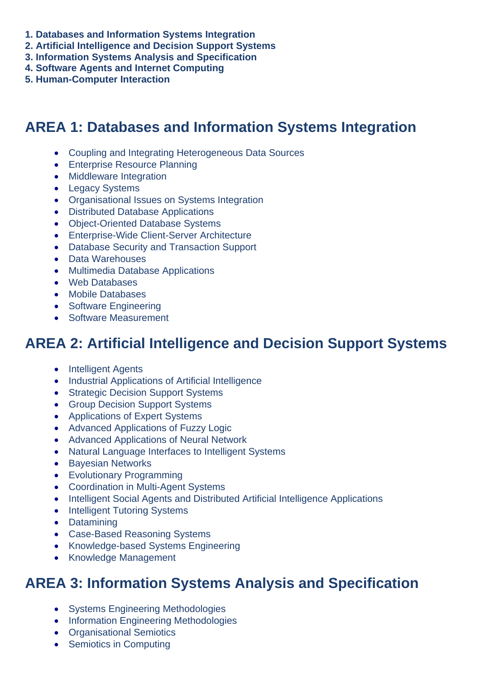- **1. Databases and Information Systems Integration**
- **2. Artificial Intelligence and Decision Support Systems**
- **3. Information Systems Analysis and Specification**
- **4. Software Agents and Internet Computing**
- **5. Human-Computer Interaction**

## **AREA 1: Databases and Information Systems Integration**

- Coupling and Integrating Heterogeneous Data Sources
- Enterprise Resource Planning
- Middleware Integration
- Legacy Systems
- Organisational Issues on Systems Integration
- Distributed Database Applications
- Object-Oriented Database Systems
- Enterprise-Wide Client-Server Architecture
- Database Security and Transaction Support
- Data Warehouses
- Multimedia Database Applications
- Web Databases
- Mobile Databases
- Software Engineering
- Software Measurement

## **AREA 2: Artificial Intelligence and Decision Support Systems**

- Intelligent Agents
- Industrial Applications of Artificial Intelligence
- Strategic Decision Support Systems
- Group Decision Support Systems
- Applications of Expert Systems
- Advanced Applications of Fuzzy Logic
- Advanced Applications of Neural Network
- Natural Language Interfaces to Intelligent Systems
- Bayesian Networks
- Evolutionary Programming
- Coordination in Multi-Agent Systems
- Intelligent Social Agents and Distributed Artificial Intelligence Applications
- Intelligent Tutoring Systems
- Datamining
- Case-Based Reasoning Systems
- Knowledge-based Systems Engineering
- Knowledge Management

## **AREA 3: Information Systems Analysis and Specification**

- Systems Engineering Methodologies
- Information Engineering Methodologies
- Organisational Semiotics
- Semiotics in Computing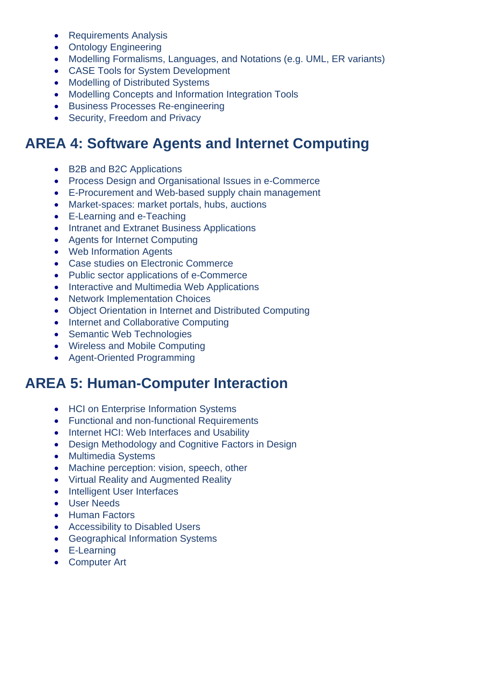- Requirements Analysis
- Ontology Engineering
- Modelling Formalisms, Languages, and Notations (e.g. UML, ER variants)
- CASE Tools for System Development
- Modelling of Distributed Systems
- Modelling Concepts and Information Integration Tools
- Business Processes Re-engineering
- Security, Freedom and Privacy

# **AREA 4: Software Agents and Internet Computing**

- B2B and B2C Applications
- Process Design and Organisational Issues in e-Commerce
- E-Procurement and Web-based supply chain management
- Market-spaces: market portals, hubs, auctions
- E-Learning and e-Teaching
- Intranet and Extranet Business Applications
- Agents for Internet Computing
- Web Information Agents
- Case studies on Electronic Commerce
- Public sector applications of e-Commerce
- Interactive and Multimedia Web Applications
- Network Implementation Choices
- Object Orientation in Internet and Distributed Computing
- Internet and Collaborative Computing
- Semantic Web Technologies
- Wireless and Mobile Computing
- Agent-Oriented Programming

## **AREA 5: Human-Computer Interaction**

- HCI on Enterprise Information Systems
- Functional and non-functional Requirements
- Internet HCI: Web Interfaces and Usability
- Design Methodology and Cognitive Factors in Design
- Multimedia Systems
- Machine perception: vision, speech, other
- Virtual Reality and Augmented Reality
- Intelligent User Interfaces
- User Needs
- Human Factors
- Accessibility to Disabled Users
- Geographical Information Systems
- E-Learning
- Computer Art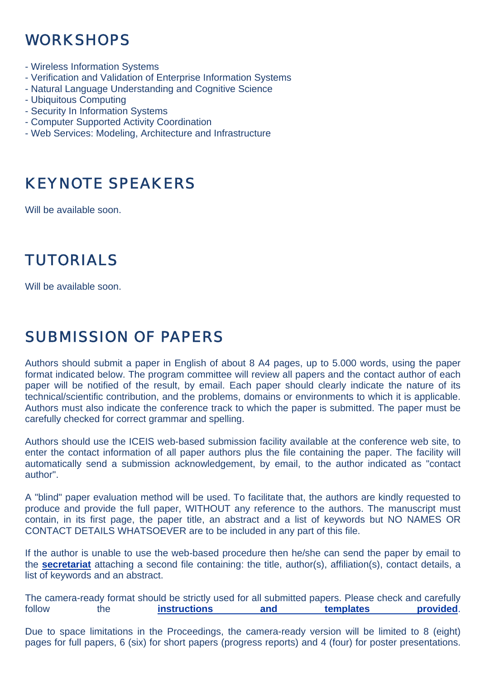# WORKSHOPS

- Wireless Information Systems
- Verification and Validation of Enterprise Information Systems
- Natural Language Understanding and Cognitive Science
- Ubiquitous Computing
- Security In Information Systems
- Computer Supported Activity Coordination
- Web Services: Modeling, Architecture and Infrastructure

# KEYNOTE SPEAKERS

Will be available soon.

# TUTORIALS

Will be available soon.

# SUBMISSION OF PAPERS

Authors should submit a paper in English of about 8 A4 pages, up to 5.000 words, using the paper format indicated below. The program committee will review all papers and the contact author of each paper will be notified of the result, by email. Each paper should clearly indicate the nature of its technical/scientific contribution, and the problems, domains or environments to which it is applicable. Authors must also indicate the conference track to which the paper is submitted. The paper must be carefully checked for correct grammar and spelling.

Authors should use the ICEIS web-based submission facility available at the conference web site, to enter the contact information of all paper authors plus the file containing the paper. The facility will automatically send a submission acknowledgement, by email, to the author indicated as "contact author".

A "blind" paper evaluation method will be used. To facilitate that, the authors are kindly requested to produce and provide the full paper, WITHOUT any reference to the authors. The manuscript must contain, in its first page, the paper title, an abstract and a list of keywords but NO NAMES OR CONTACT DETAILS WHATSOEVER are to be included in any part of this file.

If the author is unable to use the web-based procedure then he/she can send the paper by email to the **secretariat** attaching a second file containing: the title, author(s), affiliation(s), contact details, a list of keywords and an abstract.

The camera-ready format should be strictly used for all submitted papers. Please check and carefully follow the **instructions** and templates provided.

Due to space limitations in the Proceedings, the camera-ready version will be limited to 8 (eight) pages for full papers, 6 (six) for short papers (progress reports) and 4 (four) for poster presentations.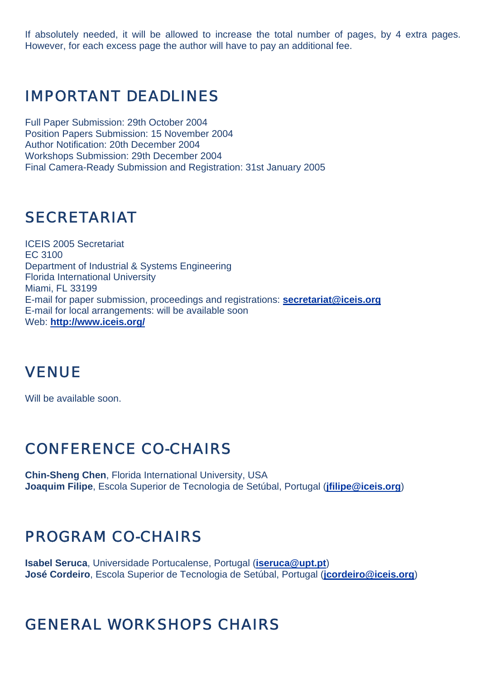If absolutely needed, it will be allowed to increase the total number of pages, by 4 extra pages. However, for each excess page the author will have to pay an additional fee.

#### IMPORTANT DEADLINES

Full Paper Submission: 29th October 2004 Position Papers Submission: 15 November 2004 Author Notification: 20th December 2004 Workshops Submission: 29th December 2004 Final Camera-Ready Submission and Registration: 31st January 2005

### SECRETARIAT

ICEIS 2005 Secretariat EC 3100 Department of Industrial & Systems Engineering Florida International University Miami, FL 33199 E-mail for paper submission, proceedings and registrations: **secretariat@iceis.org** E-mail for local arrangements: will be available soon Web: **http://www.iceis.org/**

## VENUE

Will be available soon.

# CONFERENCE CO-CHAIRS

**Chin-Sheng Chen**, Florida International University, USA **Joaquim Filipe**, Escola Superior de Tecnologia de Setúbal, Portugal (**jfilipe@iceis.org**)

# PROGRAM CO-CHAIRS

**Isabel Seruca**, Universidade Portucalense, Portugal (**iseruca@upt.pt**) **José Cordeiro**, Escola Superior de Tecnologia de Setúbal, Portugal (**jcordeiro@iceis.org**)

# GENERAL WORKSHOPS CHAIRS